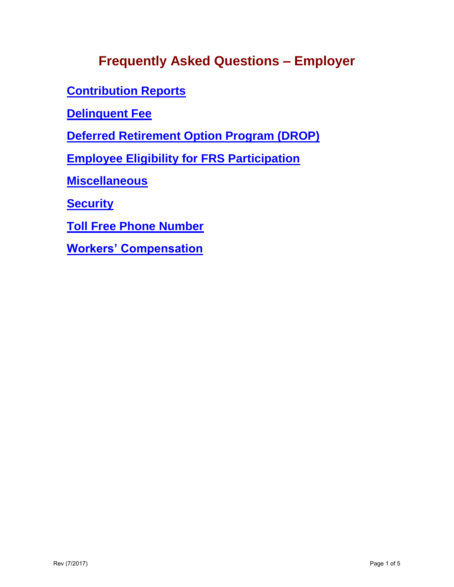# **Frequently Asked Questions – Employer**

**[Contribution Reports](#page-1-0)** 

**[Delinquent Fee](#page-2-0)** 

**[Deferred Retirement Option Program \(DROP\)](#page-2-1)** 

**[Employee Eligibility for FRS Participation](#page-3-0)** 

**[Miscellaneous](#page-4-3)**

**[Security](#page-4-0)**

**[Toll Free Phone Number](#page-4-1)**

**[Workers' Compensation](#page-4-2)**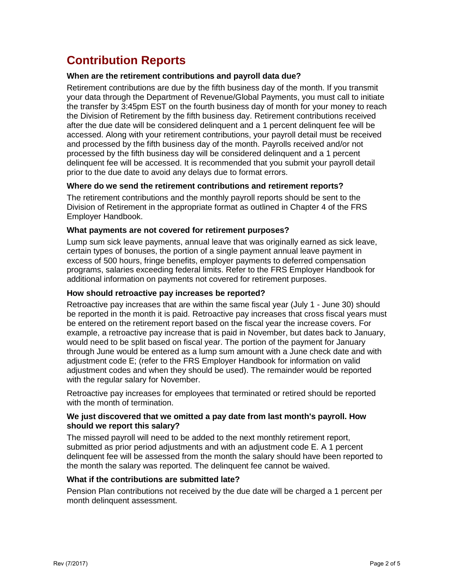# <span id="page-1-0"></span>**Contribution Reports**

### **When are the retirement contributions and payroll data due?**

Retirement contributions are due by the fifth business day of the month. If you transmit your data through the Department of Revenue/Global Payments, you must call to initiate the transfer by 3:45pm EST on the fourth business day of month for your money to reach the Division of Retirement by the fifth business day. Retirement contributions received after the due date will be considered delinquent and a 1 percent delinquent fee will be accessed. Along with your retirement contributions, your payroll detail must be received and processed by the fifth business day of the month. Payrolls received and/or not processed by the fifth business day will be considered delinquent and a 1 percent delinquent fee will be accessed. It is recommended that you submit your payroll detail prior to the due date to avoid any delays due to format errors.

#### **Where do we send the retirement contributions and retirement reports?**

The retirement contributions and the monthly payroll reports should be sent to the Division of Retirement in the appropriate format as outlined in Chapter 4 of the FRS Employer Handbook.

### **What payments are not covered for retirement purposes?**

Lump sum sick leave payments, annual leave that was originally earned as sick leave, certain types of bonuses, the portion of a single payment annual leave payment in excess of 500 hours, fringe benefits, employer payments to deferred compensation programs, salaries exceeding federal limits. Refer to the FRS Employer Handbook for additional information on payments not covered for retirement purposes.

### **How should retroactive pay increases be reported?**

Retroactive pay increases that are within the same fiscal year (July 1 - June 30) should be reported in the month it is paid. Retroactive pay increases that cross fiscal years must be entered on the retirement report based on the fiscal year the increase covers. For example, a retroactive pay increase that is paid in November, but dates back to January, would need to be split based on fiscal year. The portion of the payment for January through June would be entered as a lump sum amount with a June check date and with adjustment code E; (refer to the FRS Employer Handbook for information on valid adjustment codes and when they should be used). The remainder would be reported with the regular salary for November.

Retroactive pay increases for employees that terminated or retired should be reported with the month of termination.

#### **We just discovered that we omitted a pay date from last month's payroll. How should we report this salary?**

The missed payroll will need to be added to the next monthly retirement report, submitted as prior period adjustments and with an adjustment code E. A 1 percent delinquent fee will be assessed from the month the salary should have been reported to the month the salary was reported. The delinquent fee cannot be waived.

#### **What if the contributions are submitted late?**

Pension Plan contributions not received by the due date will be charged a 1 percent per month delinquent assessment.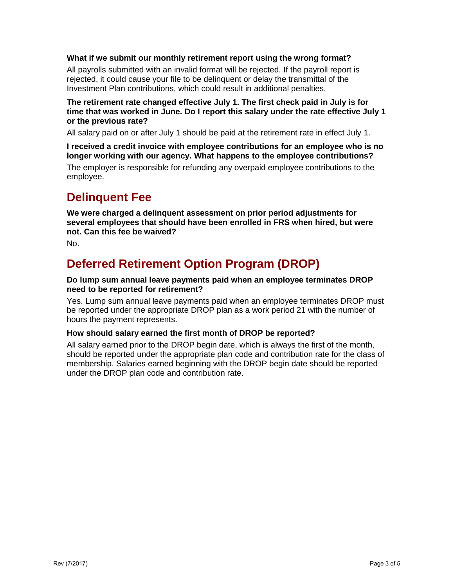### **What if we submit our monthly retirement report using the wrong format?**

All payrolls submitted with an invalid format will be rejected. If the payroll report is rejected, it could cause your file to be delinquent or delay the transmittal of the Investment Plan contributions, which could result in additional penalties.

### **The retirement rate changed effective July 1. The first check paid in July is for time that was worked in June. Do I report this salary under the rate effective July 1 or the previous rate?**

All salary paid on or after July 1 should be paid at the retirement rate in effect July 1.

**I received a credit invoice with employee contributions for an employee who is no longer working with our agency. What happens to the employee contributions?** 

The employer is responsible for refunding any overpaid employee contributions to the employee.

## <span id="page-2-0"></span>**Delinquent Fee**

**We were charged a delinquent assessment on prior period adjustments for several employees that should have been enrolled in FRS when hired, but were not. Can this fee be waived?** 

<span id="page-2-1"></span>No.

# **Deferred Retirement Option Program (DROP)**

### **Do lump sum annual leave payments paid when an employee terminates DROP need to be reported for retirement?**

Yes. Lump sum annual leave payments paid when an employee terminates DROP must be reported under the appropriate DROP plan as a work period 21 with the number of hours the payment represents.

### **How should salary earned the first month of DROP be reported?**

All salary earned prior to the DROP begin date, which is always the first of the month, should be reported under the appropriate plan code and contribution rate for the class of membership. Salaries earned beginning with the DROP begin date should be reported under the DROP plan code and contribution rate.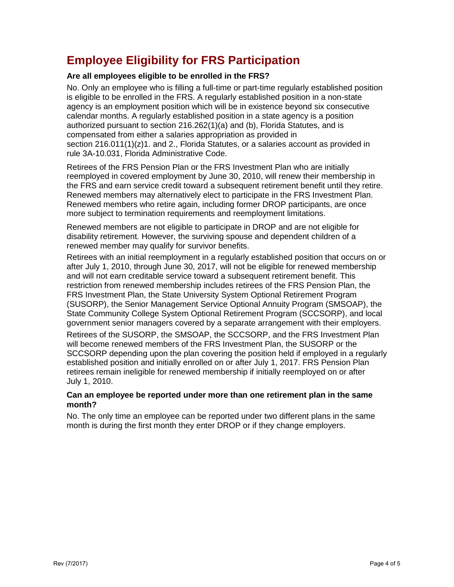# <span id="page-3-0"></span>**Employee Eligibility for FRS Participation**

### **Are all employees eligible to be enrolled in the FRS?**

No. Only an employee who is filling a full-time or part-time regularly established position is eligible to be enrolled in the FRS. A regularly established position in a non-state agency is an employment position which will be in existence beyond six consecutive calendar months. A regularly established position in a state agency is a position authorized pursuant to section 216.262(1)(a) and (b), Florida Statutes, and is compensated from either a salaries appropriation as provided in section  $216.011(1)(z)1$ . and  $2$ ., Florida Statutes, or a salaries account as provided in rule 3A-10.031, Florida Administrative Code.

Retirees of the FRS Pension Plan or the FRS Investment Plan who are initially reemployed in covered employment by June 30, 2010, will renew their membership in the FRS and earn service credit toward a subsequent retirement benefit until they retire. Renewed members may alternatively elect to participate in the FRS Investment Plan. Renewed members who retire again, including former DROP participants, are once more subject to termination requirements and reemployment limitations.

Renewed members are not eligible to participate in DROP and are not eligible for disability retirement. However, the surviving spouse and dependent children of a renewed member may qualify for survivor benefits.

Retirees with an initial reemployment in a regularly established position that occurs on or after July 1, 2010, through June 30, 2017, will not be eligible for renewed membership and will not earn creditable service toward a subsequent retirement benefit. This restriction from renewed membership includes retirees of the FRS Pension Plan, the FRS Investment Plan, the State University System Optional Retirement Program (SUSORP), the Senior Management Service Optional Annuity Program (SMSOAP), the State Community College System Optional Retirement Program (SCCSORP), and local government senior managers covered by a separate arrangement with their employers.

Retirees of the SUSORP, the SMSOAP, the SCCSORP, and the FRS Investment Plan will become renewed members of the FRS Investment Plan, the SUSORP or the SCCSORP depending upon the plan covering the position held if employed in a regularly established position and initially enrolled on or after July 1, 2017. FRS Pension Plan retirees remain ineligible for renewed membership if initially reemployed on or after July 1, 2010.

### **Can an employee be reported under more than one retirement plan in the same month?**

No. The only time an employee can be reported under two different plans in the same month is during the first month they enter DROP or if they change employers.